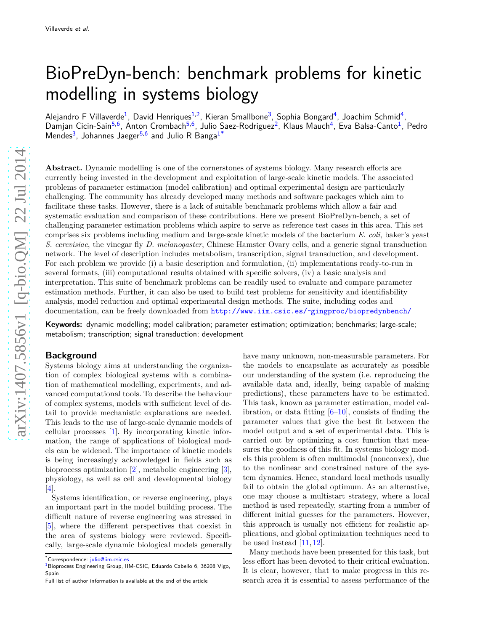# BioPreDyn-bench: benchmark problems for kinetic modelling in systems biology

Alejandro F Villaverde<sup>[1](#page-10-0)</sup>, David Henriques<sup>1[,2](#page-10-1)</sup>, Kieran Smallbone<sup>[3](#page-10-2)</sup>, Sophia Bongard<sup>[4](#page-10-3)</sup>, Joachim Schmid<sup>4</sup>, Damjan Cicin-Sain<sup>[5](#page-10-4)[,6](#page-10-5)</sup>, Anton Crombach<sup>[5,](#page-10-4)[6](#page-10-5)</sup>, Julio Saez-Rodriguez<sup>[2](#page-10-1)</sup>, Klaus Mauch<sup>[4](#page-10-3)</sup>, Eva Balsa-Canto<sup>[1](#page-10-0)</sup>, Pedro Mendes<sup>[3](#page-10-2)</sup>, Johannes Jaeger<sup>[5](#page-10-4)[,6](#page-10-5)</sup> and Julio R Banga<sup>[1](#page-10-0)[\\*](#page-0-0)</sup>

**Abstract.** Dynamic modelling is one of the cornerstones of systems biology. Many research efforts are currently being invested in the development and exploitation of large-scale kinetic models. The associated problems of parameter estimation (model calibration) and optimal experimental design are particularly challenging. The community has already developed many methods and software packages which aim to facilitate these tasks. However, there is a lack of suitable benchmark problems which allow a fair and systematic evaluation and comparison of these contributions. Here we present BioPreDyn-bench, a set of challenging parameter estimation problems which aspire to serve as reference test cases in this area. This set comprises six problems including medium and large-scale kinetic models of the bacterium *E. coli*, baker's yeast *S. cerevisiae*, the vinegar fly *D. melanogaster*, Chinese Hamster Ovary cells, and a generic signal transduction network. The level of description includes metabolism, transcription, signal transduction, and development. For each problem we provide (i) a basic description and formulation, (ii) implementations ready-to-run in several formats, (iii) computational results obtained with specific solvers, (iv) a basic analysis and interpretation. This suite of benchmark problems can be readily used to evaluate and compare parameter estimation methods. Further, it can also be used to build test problems for sensitivity and identifiability analysis, model reduction and optimal experimental design methods. The suite, including codes and documentation, can be freely downloaded from [http://www.iim.csic.es/˜gingproc/biopredynbench/](http://www.iim.csic.es/~gingproc/biopredynbench/)

**Keywords:** dynamic modelling; model calibration; parameter estimation; optimization; benchmarks; large-scale; metabolism; transcription; signal transduction; development

# **Background**

Systems biology aims at understanding the organization of complex biological systems with a combination of mathematical modelling, experiments, and advanced computational tools. To describe the behaviour of complex systems, models with sufficient level of detail to provide mechanistic explanations are needed. This leads to the use of large-scale dynamic models of cellular processes [\[1\]](#page-10-6). By incorporating kinetic information, the range of applications of biological models can be widened. The importance of kinetic models is being increasingly acknowledged in fields such as bioprocess optimization [\[2\]](#page-10-7), metabolic engineering [\[3\]](#page-10-8), physiology, as well as cell and developmental biology [\[4\]](#page-10-9).

Systems identification, or reverse engineering, plays an important part in the model building process. The difficult nature of reverse engineering was stressed in [\[5\]](#page-10-10), where the different perspectives that coexist in the area of systems biology were reviewed. Specifically, large-scale dynamic biological models generally have many unknown, non-measurable parameters. For the models to encapsulate as accurately as possible our understanding of the system (i.e. reproducing the available data and, ideally, being capable of making predictions), these parameters have to be estimated. This task, known as parameter estimation, model calibration, or data fitting  $[6–10]$  $[6–10]$ , consists of finding the parameter values that give the best fit between the model output and a set of experimental data. This is carried out by optimizing a cost function that measures the goodness of this fit. In systems biology models this problem is often multimodal (nonconvex), due to the nonlinear and constrained nature of the system dynamics. Hence, standard local methods usually fail to obtain the global optimum. As an alternative, one may choose a multistart strategy, where a local method is used repeatedly, starting from a number of different initial guesses for the parameters. However, this approach is usually not efficient for realistic applications, and global optimization techniques need to be used instead  $[11, 12]$  $[11, 12]$ .

Many methods have been presented for this task, but less effort has been devoted to their critical evaluation. It is clear, however, that to make progress in this research area it is essential to assess performance of the

<sup>\*</sup>Correspondence: [julio@iim.csic.es](mailto:julio@iim.csic.es)

<span id="page-0-0"></span><sup>&</sup>lt;sup>[1](#page-10-0)</sup> Bioprocess Engineering Group, IIM-CSIC, Eduardo Cabello 6, 36208 Vigo, Spain

Full list of author information is available at the end of the article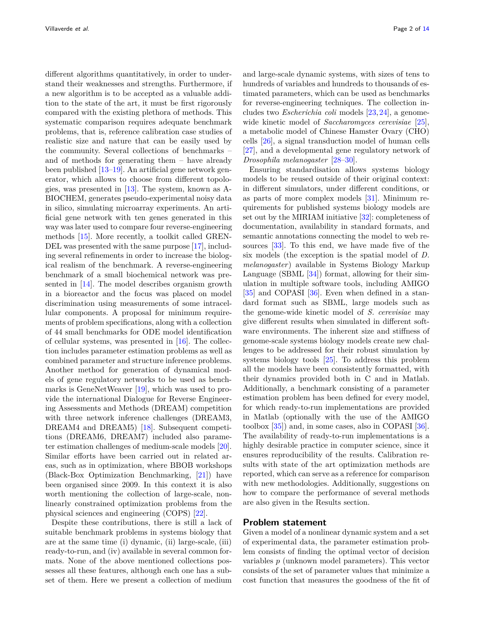different algorithms quantitatively, in order to understand their weaknesses and strengths. Furthermore, if a new algorithm is to be accepted as a valuable addition to the state of the art, it must be first rigorously compared with the existing plethora of methods. This systematic comparison requires adequate benchmark problems, that is, reference calibration case studies of realistic size and nature that can be easily used by the community. Several collections of benchmarks – and of methods for generating them – have already been published [\[13](#page-10-15)[–19\]](#page-10-16). An artificial gene network generator, which allows to choose from different topologies, was presented in [\[13\]](#page-10-15). The system, known as A-BIOCHEM, generates pseudo-experimental noisy data in silico, simulating microarray experiments. An artificial gene network with ten genes generated in this way was later used to compare four reverse-engineering methods [\[15\]](#page-10-17). More recently, a toolkit called GREN-DEL was presented with the same purpose [\[17\]](#page-10-18), including several refinements in order to increase the biological realism of the benchmark. A reverse-engineering benchmark of a small biochemical network was presented in [\[14\]](#page-10-19). The model describes organism growth in a bioreactor and the focus was placed on model discrimination using measurements of some intracellular components. A proposal for minimum requirements of problem specifications, along with a collection of 44 small benchmarks for ODE model identification of cellular systems, was presented in [\[16\]](#page-10-20). The collection includes parameter estimation problems as well as combined parameter and structure inference problems. Another method for generation of dynamical models of gene regulatory networks to be used as bench-marks is GeneNetWeaver [\[19\]](#page-10-16), which was used to provide the international Dialogue for Reverse Engineering Assessments and Methods (DREAM) competition with three network inference challenges (DREAM3, DREAM4 and DREAM5) [\[18\]](#page-10-21). Subsequent competitions (DREAM6, DREAM7) included also parameter estimation challenges of medium-scale models [\[20\]](#page-10-22). Similar efforts have been carried out in related areas, such as in optimization, where BBOB workshops (Black-Box Optimization Benchmarking, [\[21\]](#page-10-23)) have been organised since 2009. In this context it is also worth mentioning the collection of large-scale, nonlinearly constrained optimization problems from the physical sciences and engineering (COPS) [\[22\]](#page-10-24).

Despite these contributions, there is still a lack of suitable benchmark problems in systems biology that are at the same time (i) dynamic, (ii) large-scale, (iii) ready-to-run, and (iv) available in several common formats. None of the above mentioned collections possesses all these features, although each one has a subset of them. Here we present a collection of medium and large-scale dynamic systems, with sizes of tens to hundreds of variables and hundreds to thousands of estimated parameters, which can be used as benchmarks for reverse-engineering techniques. The collection includes two *Escherichia coli* models [\[23,](#page-10-25)[24\]](#page-10-26), a genomewide kinetic model of *Saccharomyces cerevisiae* [\[25\]](#page-11-0), a metabolic model of Chinese Hamster Ovary (CHO) cells [\[26\]](#page-11-1), a signal transduction model of human cells [\[27\]](#page-11-2), and a developmental gene regulatory network of *Drosophila melanogaster* [\[28](#page-11-3)[–30\]](#page-11-4).

Ensuring standardisation allows systems biology models to be reused outside of their original context: in different simulators, under different conditions, or as parts of more complex models [\[31\]](#page-11-5). Minimum requirements for published systems biology models are set out by the MIRIAM initiative [\[32\]](#page-11-6): completeness of documentation, availability in standard formats, and semantic annotations connecting the model to web resources [\[33\]](#page-11-7). To this end, we have made five of the six models (the exception is the spatial model of *D. melanogaster*) available in Systems Biology Markup Language (SBML  $[34]$ ) format, allowing for their simulation in multiple software tools, including AMIGO [\[35\]](#page-11-9) and COPASI [\[36\]](#page-11-10). Even when defined in a standard format such as SBML, large models such as the genome-wide kinetic model of *S. cerevisiae* may give different results when simulated in different software environments. The inherent size and stiffness of genome-scale systems biology models create new challenges to be addressed for their robust simulation by systems biology tools [\[25\]](#page-11-0). To address this problem all the models have been consistently formatted, with their dynamics provided both in C and in Matlab. Additionally, a benchmark consisting of a parameter estimation problem has been defined for every model, for which ready-to-run implementations are provided in Matlab (optionally with the use of the AMIGO toolbox  $[35]$  and, in some cases, also in COPASI  $[36]$ . The availability of ready-to-run implementations is a highly desirable practice in computer science, since it ensures reproducibility of the results. Calibration results with state of the art optimization methods are reported, which can serve as a reference for comparison with new methodologies. Additionally, suggestions on how to compare the performance of several methods are also given in the Results section.

# **Problem statement**

Given a model of a nonlinear dynamic system and a set of experimental data, the parameter estimation problem consists of finding the optimal vector of decision variables *p* (unknown model parameters). This vector consists of the set of parameter values that minimize a cost function that measures the goodness of the fit of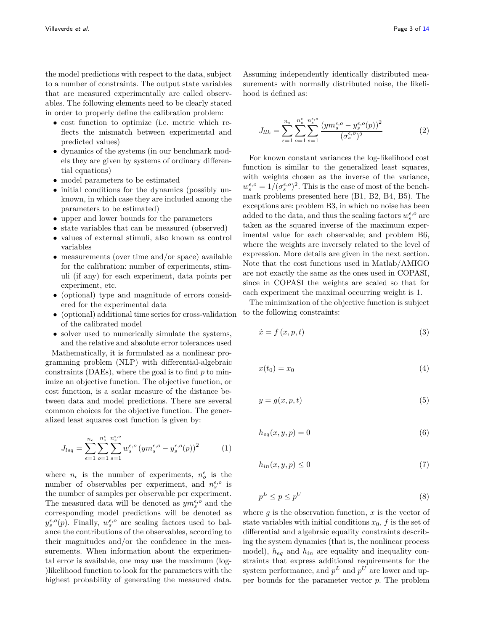the model predictions with respect to the data, subject to a number of constraints. The output state variables that are measured experimentally are called observables. The following elements need to be clearly stated in order to properly define the calibration problem:

- cost function to optimize (i.e. metric which reflects the mismatch between experimental and predicted values)
- dynamics of the systems (in our benchmark models they are given by systems of ordinary differential equations)
- model parameters to be estimated
- initial conditions for the dynamics (possibly unknown, in which case they are included among the parameters to be estimated)
- upper and lower bounds for the parameters
- state variables that can be measured (observed)
- values of external stimuli, also known as control variables
- measurements (over time and/or space) available for the calibration: number of experiments, stimuli (if any) for each experiment, data points per experiment, etc.
- (optional) type and magnitude of errors considered for the experimental data
- (optional) additional time series for cross-validation of the calibrated model

• solver used to numerically simulate the systems, and the relative and absolute error tolerances used

Mathematically, it is formulated as a nonlinear programming problem (NLP) with differential-algebraic constraints (DAEs), where the goal is to find *p* to minimize an objective function. The objective function, or cost function, is a scalar measure of the distance between data and model predictions. There are several common choices for the objective function. The generalized least squares cost function is given by:

$$
J_{lsq} = \sum_{\epsilon=1}^{n_{\epsilon}} \sum_{o=1}^{n_{\epsilon}^{\epsilon}} \sum_{s=1}^{n_{s}^{\epsilon,o}} w_{s}^{\epsilon,o} (ym_{s}^{\epsilon,o} - y_{s}^{\epsilon,o}(p))^{2}
$$
 (1)

where  $n_{\epsilon}$  is the number of experiments,  $n_o^{\epsilon}$  is the number of observables per experiment, and  $n_s^{\epsilon, o}$  is the number of samples per observable per experiment. The measured data will be denoted as  $ym_s^{\epsilon, o}$  and the corresponding model predictions will be denoted as  $y_s^{\epsilon, o}(p)$ . Finally,  $w_s^{\epsilon, o}$  are scaling factors used to balance the contributions of the observables, according to their magnitudes and/or the confidence in the measurements. When information about the experimental error is available, one may use the maximum (log- )likelihood function to look for the parameters with the highest probability of generating the measured data.

Assuming independently identically distributed measurements with normally distributed noise, the likelihood is defined as:

$$
J_{llk} = \sum_{\epsilon=1}^{n_{\epsilon}} \sum_{o=1}^{n_{\epsilon}^{\epsilon}} \sum_{s=1}^{n_{s}^{\epsilon,o}} \frac{\left( y m_{s}^{\epsilon,o} - y_{s}^{\epsilon,o}(p) \right)^{2}}{(\sigma_{s}^{\epsilon,o})^{2}} \tag{2}
$$

For known constant variances the log-likelihood cost function is similar to the generalized least squares, with weights chosen as the inverse of the variance,  $w_s^{\epsilon, o} = 1/( \sigma_s^{\epsilon, o})^2$ . This is the case of most of the benchmark problems presented here (B1, B2, B4, B5). The exceptions are: problem B3, in which no noise has been added to the data, and thus the scaling factors  $w_s^{\epsilon, o}$  are taken as the squared inverse of the maximum experimental value for each observable; and problem B6, where the weights are inversely related to the level of expression. More details are given in the next section. Note that the cost functions used in Matlab/AMIGO are not exactly the same as the ones used in COPASI, since in COPASI the weights are scaled so that for each experiment the maximal occurring weight is 1.

The minimization of the objective function is subject to the following constraints:

$$
\dot{x} = f(x, p, t) \tag{3}
$$

$$
x(t_0) = x_0 \tag{4}
$$

<span id="page-2-0"></span>
$$
y = g(x, p, t) \tag{5}
$$

<span id="page-2-2"></span><span id="page-2-1"></span>
$$
h_{eq}(x, y, p) = 0 \tag{6}
$$

$$
h_{in}(x, y, p) \le 0\tag{7}
$$

$$
p^L \le p \le p^U \tag{8}
$$

where  $g$  is the observation function,  $x$  is the vector of state variables with initial conditions  $x_0$ ,  $f$  is the set of differential and algebraic equality constraints describing the system dynamics (that is, the nonlinear process model), *heq* and *hin* are equality and inequality constraints that express additional requirements for the system performance, and  $p^L$  and  $p^U$  are lower and upper bounds for the parameter vector *p*. The problem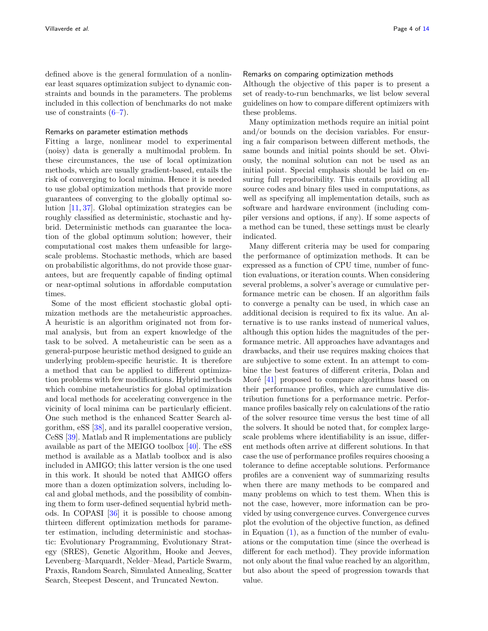defined above is the general formulation of a nonlinear least squares optimization subject to dynamic constraints and bounds in the parameters. The problems included in this collection of benchmarks do not make use of constraints  $(6-7)$  $(6-7)$ .

# Remarks on parameter estimation methods

Fitting a large, nonlinear model to experimental (noisy) data is generally a multimodal problem. In these circumstances, the use of local optimization methods, which are usually gradient-based, entails the risk of converging to local minima. Hence it is needed to use global optimization methods that provide more guarantees of converging to the globally optimal solution [\[11,](#page-10-13) [37\]](#page-11-11). Global optimization strategies can be roughly classified as deterministic, stochastic and hybrid. Deterministic methods can guarantee the location of the global optimum solution; however, their computational cost makes them unfeasible for largescale problems. Stochastic methods, which are based on probabilistic algorithms, do not provide those guarantees, but are frequently capable of finding optimal or near-optimal solutions in affordable computation times.

Some of the most efficient stochastic global optimization methods are the metaheuristic approaches. A heuristic is an algorithm originated not from formal analysis, but from an expert knowledge of the task to be solved. A metaheuristic can be seen as a general-purpose heuristic method designed to guide an underlying problem-specific heuristic. It is therefore a method that can be applied to different optimization problems with few modifications. Hybrid methods which combine metaheuristics for global optimization and local methods for accelerating convergence in the vicinity of local minima can be particularly efficient. One such method is the enhanced Scatter Search algorithm, eSS [\[38\]](#page-11-12), and its parallel cooperative version, CeSS [\[39\]](#page-11-13). Matlab and R implementations are publicly available as part of the MEIGO toolbox  $[40]$ . The eSS method is available as a Matlab toolbox and is also included in AMIGO; this latter version is the one used in this work. It should be noted that AMIGO offers more than a dozen optimization solvers, including local and global methods, and the possibility of combining them to form user-defined sequential hybrid methods. In COPASI [\[36\]](#page-11-10) it is possible to choose among thirteen different optimization methods for parameter estimation, including deterministic and stochastic: Evolutionary Programming, Evolutionary Strategy (SRES), Genetic Algorithm, Hooke and Jeeves, Levenberg–Marquardt, Nelder–Mead, Particle Swarm, Praxis, Random Search, Simulated Annealing, Scatter Search, Steepest Descent, and Truncated Newton.

# Remarks on comparing optimization methods

Although the objective of this paper is to present a set of ready-to-run benchmarks, we list below several guidelines on how to compare different optimizers with these problems.

Many optimization methods require an initial point and/or bounds on the decision variables. For ensuring a fair comparison between different methods, the same bounds and initial points should be set. Obviously, the nominal solution can not be used as an initial point. Special emphasis should be laid on ensuring full reproducibility. This entails providing all source codes and binary files used in computations, as well as specifying all implementation details, such as software and hardware environment (including compiler versions and options, if any). If some aspects of a method can be tuned, these settings must be clearly indicated.

Many different criteria may be used for comparing the performance of optimization methods. It can be expressed as a function of CPU time, number of function evaluations, or iteration counts. When considering several problems, a solver's average or cumulative performance metric can be chosen. If an algorithm fails to converge a penalty can be used, in which case an additional decision is required to fix its value. An alternative is to use ranks instead of numerical values, although this option hides the magnitudes of the performance metric. All approaches have advantages and drawbacks, and their use requires making choices that are subjective to some extent. In an attempt to combine the best features of different criteria, Dolan and Moré  $[41]$  proposed to compare algorithms based on their performance profiles, which are cumulative distribution functions for a performance metric. Performance profiles basically rely on calculations of the ratio of the solver resource time versus the best time of all the solvers. It should be noted that, for complex largescale problems where identifiability is an issue, different methods often arrive at different solutions. In that case the use of performance profiles requires choosing a tolerance to define acceptable solutions. Performance profiles are a convenient way of summarizing results when there are many methods to be compared and many problems on which to test them. When this is not the case, however, more information can be provided by using convergence curves. Convergence curves plot the evolution of the objective function, as defined in Equation  $(1)$ , as a function of the number of evaluations or the computation time (since the overhead is different for each method). They provide information not only about the final value reached by an algorithm, but also about the speed of progression towards that value.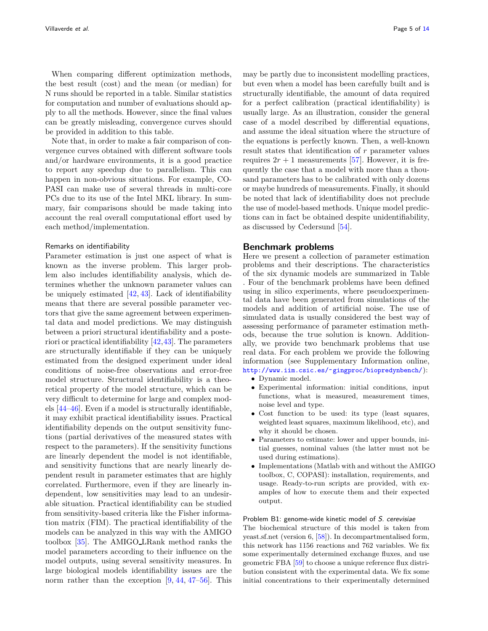When comparing different optimization methods, the best result (cost) and the mean (or median) for N runs should be reported in a table. Similar statistics for computation and number of evaluations should apply to all the methods. However, since the final values can be greatly misleading, convergence curves should be provided in addition to this table.

Note that, in order to make a fair comparison of convergence curves obtained with different software tools and/or hardware environments, it is a good practice to report any speedup due to parallelism. This can happen in non-obvious situations. For example, CO-PASI can make use of several threads in multi-core PCs due to its use of the Intel MKL library. In summary, fair comparisons should be made taking into account the real overall computational effort used by each method/implementation.

## Remarks on identifiability

Parameter estimation is just one aspect of what is known as the inverse problem. This larger problem also includes identifiability analysis, which determines whether the unknown parameter values can be uniquely estimated  $[42, 43]$  $[42, 43]$ . Lack of identifiability means that there are several possible parameter vectors that give the same agreement between experimental data and model predictions. We may distinguish between a priori structural identifiability and a posteriori or practical identifiability [\[42,](#page-11-16)[43\]](#page-11-17). The parameters are structurally identifiable if they can be uniquely estimated from the designed experiment under ideal conditions of noise-free observations and error-free model structure. Structural identifiability is a theoretical property of the model structure, which can be very difficult to determine for large and complex models [\[44](#page-11-18)[–46\]](#page-11-19). Even if a model is structurally identifiable, it may exhibit practical identifiability issues. Practical identifiability depends on the output sensitivity functions (partial derivatives of the measured states with respect to the parameters). If the sensitivity functions are linearly dependent the model is not identifiable, and sensitivity functions that are nearly linearly dependent result in parameter estimates that are highly correlated. Furthermore, even if they are linearly independent, low sensitivities may lead to an undesirable situation. Practical identifiability can be studied from sensitivity-based criteria like the Fisher information matrix (FIM). The practical identifiability of the models can be analyzed in this way with the AMIGO toolbox [\[35\]](#page-11-9). The AMIGO LRank method ranks the model parameters according to their influence on the model outputs, using several sensitivity measures. In large biological models identifiability issues are the norm rather than the exception  $[9, 44, 47-56]$  $[9, 44, 47-56]$  $[9, 44, 47-56]$  $[9, 44, 47-56]$ . This

may be partly due to inconsistent modelling practices, but even when a model has been carefully built and is structurally identifiable, the amount of data required for a perfect calibration (practical identifiability) is usually large. As an illustration, consider the general case of a model described by differential equations, and assume the ideal situation where the structure of the equations is perfectly known. Then, a well-known result states that identification of *r* parameter values requires  $2r + 1$  measurements [\[57\]](#page-12-1). However, it is frequently the case that a model with more than a thousand parameters has to be calibrated with only dozens or maybe hundreds of measurements. Finally, it should be noted that lack of identifiability does not preclude the use of model-based methods. Unique model predictions can in fact be obtained despite unidentifiability, as discussed by Cedersund [\[54\]](#page-12-2).

## **Benchmark problems**

Here we present a collection of parameter estimation problems and their descriptions. The characteristics of the six dynamic models are summarized in Table [.](#page-5-0) Four of the benchmark problems have been defined using in silico experiments, where pseudoexperimental data have been generated from simulations of the models and addition of artificial noise. The use of simulated data is usually considered the best way of assessing performance of parameter estimation methods, because the true solution is known. Additionally, we provide two benchmark problems that use real data. For each problem we provide the following information (see Supplementary Information online, [http://www.iim.csic.es/˜gingproc/biopredynbench/](http://www.iim.csic.es/~gingproc/biopredynbench/)):

- Dynamic model.
- Experimental information: initial conditions, input functions, what is measured, measurement times, noise level and type.
- Cost function to be used: its type (least squares, weighted least squares, maximum likelihood, etc), and why it should be chosen.
- Parameters to estimate: lower and upper bounds, initial guesses, nominal values (the latter must not be used during estimations).
- Implementations (Matlab with and without the AMIGO toolbox, C, COPASI): installation, requirements, and usage. Ready-to-run scripts are provided, with examples of how to execute them and their expected output.

## Problem B1: genome-wide kinetic model of S. cerevisiae

The biochemical structure of this model is taken from yeast.sf.net (version 6, [\[58\]](#page-12-3)). In decompartmentalised form, this network has 1156 reactions and 762 variables. We fix some experimentally determined exchange fluxes, and use geometric FBA [\[59\]](#page-12-4) to choose a unique reference flux distribution consistent with the experimental data. We fix some initial concentrations to their experimentally determined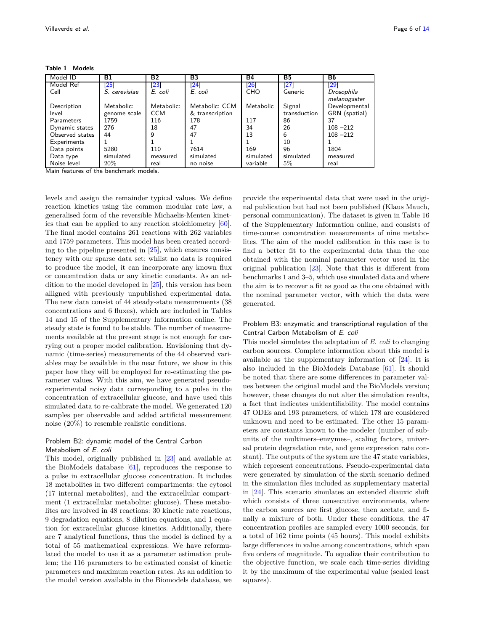**Table 1 Models**

<span id="page-5-0"></span>

| Model ID        | Β1            | <b>B2</b>          | B3                 | Β4                 | <b>B5</b>    | <b>B6</b>                  |
|-----------------|---------------|--------------------|--------------------|--------------------|--------------|----------------------------|
| Model Ref       | 25            | $\left[ 23\right]$ | $\left[ 24\right]$ | $\left[ 26\right]$ | [27]         | $\left 29\right $          |
| Cell            | S. cerevisiae | E. coli            | E. coli            | <b>CHO</b>         | Generic      | Drosophila<br>melanogaster |
| Description     | Metabolic:    | Metabolic:         | Metabolic: CCM     | Metabolic          | Signal       | Developmental              |
| level           | genome scale  | <b>CCM</b>         | & transcription    |                    | transduction | GRN (spatial)              |
| Parameters      | 1759          | 116                | 178                | 117                | 86           | 37                         |
| Dynamic states  | 276           | 18                 | 47                 | 34                 | 26           | $108 - 212$                |
| Observed states | 44            | 9                  | 47                 | 13                 | 6            | $108 - 212$                |
| Experiments     |               |                    |                    |                    | 10           |                            |
| Data points     | 5280          | 110                | 7614               | 169                | 96           | 1804                       |
| Data type       | simulated     | measured           | simulated          | simulated          | simulated    | measured                   |
| Noise level     | 20%           | real               | no noise           | variable           | 5%           | real                       |

Main features of the benchmark models.

levels and assign the remainder typical values. We define reaction kinetics using the common modular rate law, a generalised form of the reversible Michaelis-Menten kinetics that can be applied to any reaction stoichiometry [\[60\]](#page-12-5). The final model contains 261 reactions with 262 variables and 1759 parameters. This model has been created according to the pipeline presented in [\[25\]](#page-11-0), which ensures consistency with our sparse data set; whilst no data is required to produce the model, it can incorporate any known flux or concentration data or any kinetic constants. As an addition to the model developed in [\[25\]](#page-11-0), this version has been alligned with previously unpublished experimental data. The new data consist of 44 steady-state measurements (38 concentrations and 6 fluxes), which are included in Tables 14 and 15 of the Supplementary Information online. The steady state is found to be stable. The number of measurements available at the present stage is not enough for carrying out a proper model calibration. Envisioning that dynamic (time-series) measurements of the 44 observed variables may be available in the near future, we show in this paper how they will be employed for re-estimating the parameter values. With this aim, we have generated pseudoexperimental noisy data corresponding to a pulse in the concentration of extracellular glucose, and have used this simulated data to re-calibrate the model. We generated 120 samples per observable and added artificial measurement noise (20%) to resemble realistic conditions.

# Problem B2: dynamic model of the Central Carbon Metabolism of E. coli

This model, originally published in [\[23\]](#page-10-25) and available at the BioModels database [\[61\]](#page-12-6), reproduces the response to a pulse in extracellular glucose concentration. It includes 18 metabolites in two different compartments: the cytosol (17 internal metabolites), and the extracellular compartment (1 extracellular metabolite: glucose). These metabolites are involved in 48 reactions: 30 kinetic rate reactions, 9 degradation equations, 8 dilution equations, and 1 equation for extracellular glucose kinetics. Additionally, there are 7 analytical functions, thus the model is defined by a total of 55 mathematical expressions. We have reformulated the model to use it as a parameter estimation problem; the 116 parameters to be estimated consist of kinetic parameters and maximum reaction rates. As an addition to the model version available in the Biomodels database, we

provide the experimental data that were used in the original publication but had not been published (Klaus Mauch, personal communication). The dataset is given in Table 16 of the Supplementary Information online, and consists of time-course concentration measurements of nine metabolites. The aim of the model calibration in this case is to find a better fit to the experimental data than the one obtained with the nominal parameter vector used in the original publication [\[23\]](#page-10-25). Note that this is different from benchmarks 1 and 3–5, which use simulated data and where the aim is to recover a fit as good as the one obtained with the nominal parameter vector, with which the data were generated.

# Problem B3: enzymatic and transcriptional regulation of the Central Carbon Metabolism of E. coli

This model simulates the adaptation of *E. coli* to changing carbon sources. Complete information about this model is available as the supplementary information of [\[24\]](#page-10-26). It is also included in the BioModels Database [\[61\]](#page-12-6). It should be noted that there are some differences in parameter values between the original model and the BioModels version; however, these changes do not alter the simulation results, a fact that indicates unidentifiability. The model contains 47 ODEs and 193 parameters, of which 178 are considered unknown and need to be estimated. The other 15 parameters are constants known to the modeler (number of subunits of the multimers–enzymes–, scaling factors, universal protein degradation rate, and gene expression rate constant). The outputs of the system are the 47 state variables, which represent concentrations. Pseudo-experimental data were generated by simulation of the sixth scenario defined in the simulation files included as supplementary material in [\[24\]](#page-10-26). This scenario simulates an extended diauxic shift which consists of three consecutive environments, where the carbon sources are first glucose, then acetate, and finally a mixture of both. Under these conditions, the 47 concentration profiles are sampled every 1000 seconds, for a total of 162 time points (45 hours). This model exhibits large differences in value among concentrations, which span five orders of magnitude. To equalize their contribution to the objective function, we scale each time-series dividing it by the maximum of the experimental value (scaled least squares).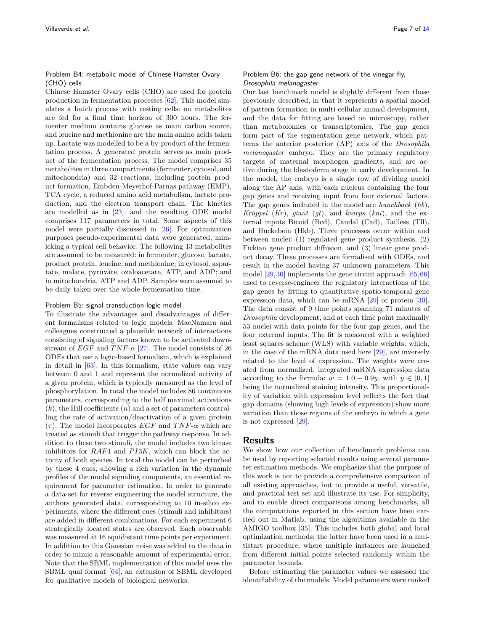## Problem B4: metabolic model of Chinese Hamster Ovary (CHO) cells

Chinese Hamster Ovary cells (CHO) are used for protein production in fermentation processes [\[62\]](#page-12-7). This model simulates a batch process with resting cells: no metabolites are fed for a final time horizon of 300 hours. The fermenter medium contains glucose as main carbon source, and leucine and methionine are the main amino acids taken up. Lactate was modelled to be a by-product of the fermentation process. A generated protein serves as main product of the fermentation process. The model comprises 35 metabolites in three compartments (fermenter, cytosol, and mitochondria) and 32 reactions, including protein product formation, Embden-Meyerhof-Parnas pathway (EMP), TCA cycle, a reduced amino acid metabolism, lactate production, and the electron transport chain. The kinetics are modelled as in [\[23\]](#page-10-25), and the resulting ODE model comprises 117 parameters in total. Some aspects of this model were partially discussed in [\[26\]](#page-11-1). For optimization purposes pseudo-experimental data were generated, mimicking a typical cell behavior. The following 13 metabolites are assumed to be measured: in fermenter, glucose, lactate, product protein, leucine, and methionine; in cytosol, aspartate, malate, pyruvate, oxaloacetate, ATP, and ADP; and in mitochondria, ATP and ADP. Samples were assumed to be daily taken over the whole fermentation time.

#### Problem B5: signal transduction logic model

To illustrate the advantages and disadvantages of different formalisms related to logic models, MacNamara and colleagues constructed a plausible network of interactions consisting of signaling factors known to be activated downstream of  $EGF$  and  $TNF$ - $\alpha$  [\[27\]](#page-11-2). The model consists of 26 ODEs that use a logic-based formalism, which is explained in detail in  $[63]$ . In this formalism, state values can vary between 0 and 1 and represent the normalized activity of a given protein, which is typically measured as the level of phosphorylation. In total the model includes 86 continuous parameters, corresponding to the half maximal activations (*k*), the Hill coefficients (*n*) and a set of parameters controlling the rate of activation/deactivation of a given protein  $(\tau)$ . The model incorporates *EGF* and *TNF-* $\alpha$  which are treated as stimuli that trigger the pathway response. In addition to these two stimuli, the model includes two kinase inhibitors for *RAF*1 and *PI3K*, which can block the activity of both species. In total the model can be perturbed by these 4 cues, allowing a rich variation in the dynamic profiles of the model signaling components, an essential requirement for parameter estimation. In order to generate a data-set for reverse engineering the model structure, the authors generated data, corresponding to 10 in-silico experiments, where the different cues (stimuli and inhibitors) are added in different combinations. For each experiment 6 strategically located states are observed. Each observable was measured at 16 equidistant time points per experiment. In addition to this Gaussian noise was added to the data in order to mimic a reasonable amount of experimental error. Note that the SBML implementation of this model uses the SBML qual format [\[64\]](#page-12-9), an extension of SBML developed for qualitative models of biological networks.

#### Problem B6: the gap gene network of the vinegar fly, Drosophila melanogaster

Our last benchmark model is slightly different from those previously described, in that it represents a spatial model of pattern formation in multi-cellular animal development, and the data for fitting are based on microscopy, rather than metabolomics or transcriptomics. The gap genes form part of the segmentation gene network, which patterns the anterior–posterior (AP) axis of the *Drosophila melanogaster* embryo. They are the primary regulatory targets of maternal morphogen gradients, and are active during the blastoderm stage in early development. In the model, the embryo is a single row of dividing nuclei along the AP axis, with each nucleus containing the four gap genes and receiving input from four external factors. The gap genes included in the model are *hunchback* (*hb*), *Kr¨uppel* (*Kr*), *giant* (*gt*), and *knirps* (*kni*), and the external inputs Bicoid (Bcd), Caudal (Cad), Tailless (Tll), and Huckebein (Hkb). Three processes occur within and between nuclei: (1) regulated gene product synthesis, (2) Fickian gene product diffusion, and (3) linear gene product decay. These processes are formalised with ODEs, and result in the model having 37 unknown parameters. This model [\[29,](#page-11-21)[30\]](#page-11-4) implements the gene circuit approach [\[65,](#page-12-10)[66\]](#page-12-11) used to reverse-engineer the regulatory interactions of the gap genes by fitting to quantitative spatio-temporal gene expression data, which can be mRNA [\[29\]](#page-11-21) or protein [\[30\]](#page-11-4). The data consist of 9 time points spanning 71 minutes of *Drosophila* development, and at each time point maximally 53 nuclei with data points for the four gap genes, and the four external inputs. The fit is measured with a weighted least squares scheme (WLS) with variable weights, which, in the case of the mRNA data used here [\[29\]](#page-11-21), are inversely related to the level of expression. The weights were created from normalized, integrated mRNA expression data according to the formula:  $w = 1.0 - 0.9y$ , with  $y \in [0, 1]$ being the normalized staining intensity. This proportionality of variation with expression level reflects the fact that gap domains (showing high levels of expression) show more variation than those regions of the embryo in which a gene is not expressed [\[29\]](#page-11-21).

# **Results**

We show how our collection of benchmark problems can be used by reporting selected results using several parameter estimation methods. We emphasize that the purpose of this work is not to provide a comprehensive comparison of all existing approaches, but to provide a useful, versatile, and practical test set and illustrate its use. For simplicity, and to enable direct comparisons among benchmarks, all the computations reported in this section have been carried out in Matlab, using the algorithms available in the AMIGO toolbox [\[35\]](#page-11-9). This includes both global and local optimization methods; the latter have been used in a multistart procedure, where multiple instances are launched from different initial points selected randomly within the parameter bounds.

Before estimating the parameter values we assessed the identifiability of the models. Model parameters were ranked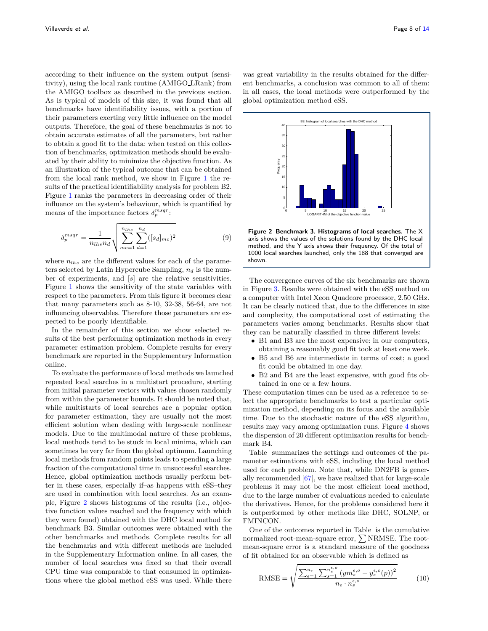according to their influence on the system output (sensitivity), using the local rank routine (AMIGO LRank) from the AMIGO toolbox as described in the previous section. As is typical of models of this size, it was found that all benchmarks have identifiability issues, with a portion of their parameters exerting very little influence on the model outputs. Therefore, the goal of these benchmarks is not to obtain accurate estimates of all the parameters, but rather to obtain a good fit to the data: when tested on this collection of benchmarks, optimization methods should be evaluated by their ability to minimize the objective function. As an illustration of the typical outcome that can be obtained from the local rank method, we show in Figure [1](#page-8-0) the results of the practical identifiability analysis for problem B2. Figure [1](#page-8-0) ranks the parameters in decreasing order of their influence on the system's behaviour, which is quantified by means of the importance factors  $\delta_p^{msgr}$ :

$$
\delta_p^{msqr} = \frac{1}{n_{lhs}n_d} \sqrt{\sum_{m c=1}^{n_{lhs}} \sum_{d=1}^{n_d} ([s_d]_{mc})^2}
$$
(9)

where  $n_{lhs}$  are the different values for each of the parameters selected by Latin Hypercube Sampling, *n<sup>d</sup>* is the number of experiments, and [*s*] are the relative sensitivities. Figure [1](#page-8-0) shows the sensitivity of the state variables with respect to the parameters. From this figure it becomes clear that many parameters such as 8-10, 32-38, 56-64, are not influencing observables. Therefore those parameters are expected to be poorly identifiable.

In the remainder of this section we show selected results of the best performing optimization methods in every parameter estimation problem. Complete results for every benchmark are reported in the Supplementary Information online.

To evaluate the performance of local methods we launched repeated local searches in a multistart procedure, starting from initial parameter vectors with values chosen randomly from within the parameter bounds. It should be noted that, while multistarts of local searches are a popular option for parameter estimation, they are usually not the most efficient solution when dealing with large-scale nonlinear models. Due to the multimodal nature of these problems, local methods tend to be stuck in local minima, which can sometimes be very far from the global optimum. Launching local methods from random points leads to spending a large fraction of the computational time in unsuccessful searches. Hence, global optimization methods usually perform better in these cases, especially if–as happens with eSS–they are used in combination with local searches. As an example, Figure [2](#page-7-0) shows histograms of the results (i.e., objective function values reached and the frequency with which they were found) obtained with the DHC local method for benchmark B3. Similar outcomes were obtained with the other benchmarks and methods. Complete results for all the benchmarks and with different methods are included in the Supplementary Information online. In all cases, the number of local searches was fixed so that their overall CPU time was comparable to that consumed in optimizations where the global method eSS was used. While there

was great variability in the results obtained for the different benchmarks, a conclusion was common to all of them: in all cases, the local methods were outperformed by the global optimization method eSS.



<span id="page-7-0"></span>**Figure 2 Benchmark 3. Histograms of local searches.** The X axis shows the values of the solutions found by the DHC local method, and the Y axis shows their frequency. Of the total of 1000 local searches launched, only the 188 that converged are shown.

The convergence curves of the six benchmarks are shown in Figure [3.](#page-9-0) Results were obtained with the eSS method on a computer with Intel Xeon Quadcore processor, 2.50 GHz. It can be clearly noticed that, due to the differences in size and complexity, the computational cost of estimating the parameters varies among benchmarks. Results show that they can be naturally classified in three different levels:

- B1 and B3 are the most expensive: in our computers, obtaining a reasonably good fit took at least one week.
- B5 and B6 are intermediate in terms of cost; a good fit could be obtained in one day.
- B2 and B4 are the least expensive, with good fits obtained in one or a few hours.

These computation times can be used as a reference to select the appropriate benchmarks to test a particular optimization method, depending on its focus and the available time. Due to the stochastic nature of the eSS algorithm, results may vary among optimization runs. Figure [4](#page-10-28) shows the dispersion of 20 different optimization results for benchmark B4.

Table summarizes the settings and outcomes of the parameter estimations with eSS, including the local method used for each problem. Note that, while DN2FB is generally recommended [\[67\]](#page-13-1), we have realized that for large-scale problems it may not be the most efficient local method, due to the large number of evaluations needed to calculate the derivatives. Hence, for the problems considered here it is outperformed by other methods like DHC, SOLNP, or FMINCON.

One of the outcomes reported in Table is the cumulative normalized root-mean-square error,  $\sum$  NRMSE. The rootmean-square error is a standard measure of the goodness of fit obtained for an observable which is defined as

RMSE = 
$$
\sqrt{\frac{\sum_{\epsilon=1}^{n_{\epsilon}} \sum_{s=1}^{n_{s}^{(\epsilon)} } (y m_{s}^{\epsilon, o} - y_{s}^{\epsilon, o}(p))^{2}}{n_{\epsilon} \cdot n_{s}^{\epsilon, o}}}
$$
(10)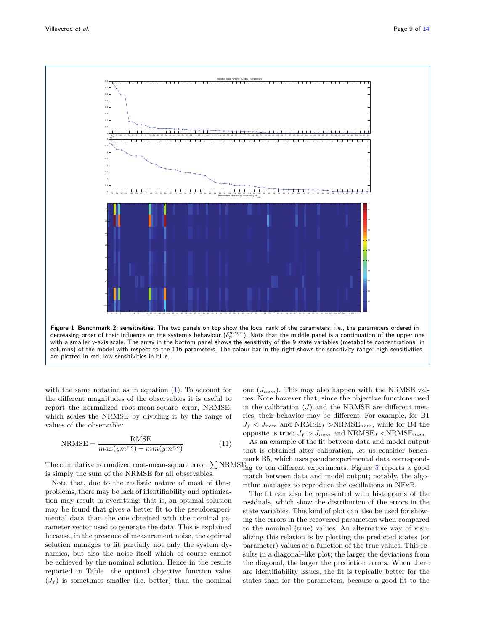

<span id="page-8-0"></span>with the same notation as in equation  $(1)$ . To account for the different magnitudes of the observables it is useful to report the normalized root-mean-square error, NRMSE, which scales the NRMSE by dividing it by the range of values of the observable:

<span id="page-8-1"></span>
$$
NRMSE = \frac{RMSE}{max(ym^{\epsilon,o}) - min(ym^{\epsilon,o})}
$$
(11)

The cumulative normalized root-mean-square error,  $\sum$  NRMS $_{\text{mg}}$  to ten different experiments. Figure [5](#page-12-12) reports a good is simply the sum of the NRMSE for all observables.

Note that, due to the realistic nature of most of these problems, there may be lack of identifiability and optimization may result in overfitting: that is, an optimal solution may be found that gives a better fit to the pseudoexperimental data than the one obtained with the nominal parameter vector used to generate the data. This is explained because, in the presence of measurement noise, the optimal solution manages to fit partially not only the system dynamics, but also the noise itself–which of course cannot be achieved by the nominal solution. Hence in the results reported in Table the optimal objective function value  $(J_f)$  is sometimes smaller (i.e. better) than the nominal one (*Jnom*). This may also happen with the NRMSE values. Note however that, since the objective functions used in the calibration  $(J)$  and the NRMSE are different metrics, their behavior may be different. For example, for B1  $J_f$  <  $J_{nom}$  and  $NRMSE_f$  > $NRMSE_{nom}$ , while for B4 the opposite is true:  $J_f > J_{nom}$  and  $NRMSE_f < NRMSE_{nom}$ .

As an example of the fit between data and model output that is obtained after calibration, let us consider benchmark B5, which uses pseudoexperimental data correspondmatch between data and model output; notably, the algorithm manages to reproduce the oscillations in NF*κ*B.

The fit can also be represented with histograms of the residuals, which show the distribution of the errors in the state variables. This kind of plot can also be used for showing the errors in the recovered parameters when compared to the nominal (true) values. An alternative way of visualizing this relation is by plotting the predicted states (or parameter) values as a function of the true values. This results in a diagonal–like plot; the larger the deviations from the diagonal, the larger the prediction errors. When there are identifiability issues, the fit is typically better for the states than for the parameters, because a good fit to the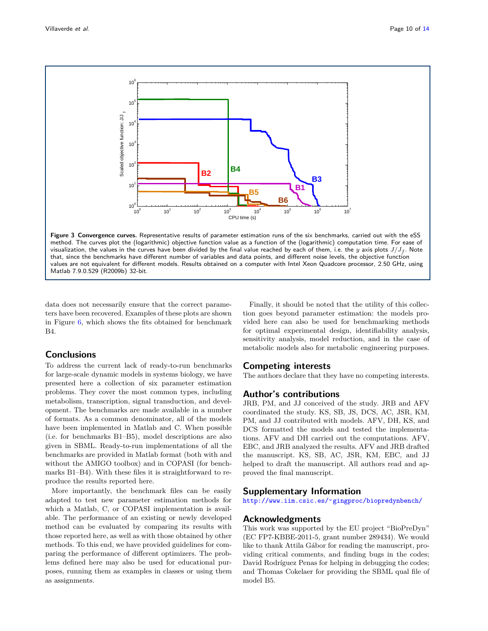

<span id="page-9-0"></span>data does not necessarily ensure that the correct parameters have been recovered. Examples of these plots are shown in Figure [6,](#page-13-2) which shows the fits obtained for benchmark  $B4$ 

# **Conclusions**

To address the current lack of ready-to-run benchmarks for large-scale dynamic models in systems biology, we have presented here a collection of six parameter estimation problems. They cover the most common types, including metabolism, transcription, signal transduction, and development. The benchmarks are made available in a number of formats. As a common denominator, all of the models have been implemented in Matlab and C. When possible (i.e. for benchmarks B1–B5), model descriptions are also given in SBML. Ready-to-run implementations of all the benchmarks are provided in Matlab format (both with and without the AMIGO toolbox) and in COPASI (for benchmarks B1–B4). With these files it is straightforward to reproduce the results reported here.

More importantly, the benchmark files can be easily adapted to test new parameter estimation methods for which a Matlab, C, or COPASI implementation is available. The performance of an existing or newly developed method can be evaluated by comparing its results with those reported here, as well as with those obtained by other methods. To this end, we have provided guidelines for comparing the performance of different optimizers. The problems defined here may also be used for educational purposes, running them as examples in classes or using them as assignments.

Finally, it should be noted that the utility of this collection goes beyond parameter estimation: the models provided here can also be used for benchmarking methods for optimal experimental design, identifiability analysis, sensitivity analysis, model reduction, and in the case of metabolic models also for metabolic engineering purposes.

# **Competing interests**

The authors declare that they have no competing interests.

# **Author's contributions**

JRB, PM, and JJ conceived of the study. JRB and AFV coordinated the study. KS, SB, JS, DCS, AC, JSR, KM, PM, and JJ contributed with models. AFV, DH, KS, and DCS formatted the models and tested the implementations. AFV and DH carried out the computations. AFV, EBC, and JRB analyzed the results. AFV and JRB drafted the manuscript. KS, SB, AC, JSR, KM, EBC, and JJ helped to draft the manuscript. All authors read and approved the final manuscript.

# **Supplementary Information**

[http://www.iim.csic.es/˜gingproc/biopredynbench/](http://www.iim.csic.es/~gingproc/biopredynbench/)

# **Acknowledgments**

This work was supported by the EU project "BioPreDyn" (EC FP7-KBBE-2011-5, grant number 289434). We would like to thank Attila Gábor for reading the manuscript, providing critical comments, and finding bugs in the codes; David Rodríguez Penas for helping in debugging the codes; and Thomas Cokelaer for providing the SBML qual file of model B5.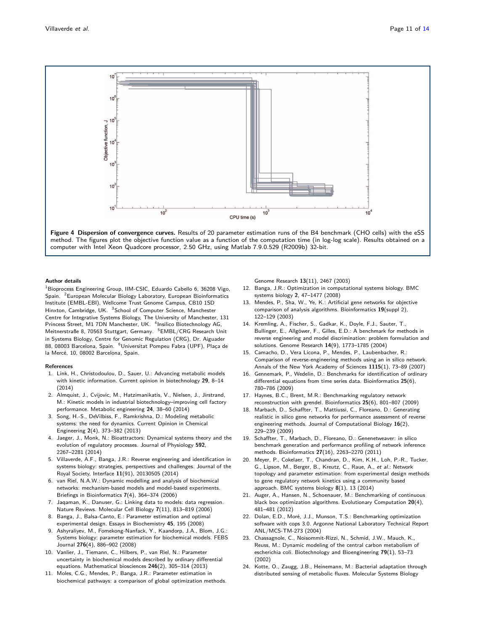

<span id="page-10-28"></span>

#### **Author details**

<span id="page-10-2"></span><span id="page-10-1"></span><span id="page-10-0"></span> $1$ Bioprocess Engineering Group, IIM-CSIC, Eduardo Cabello 6, 36208 Vigo, Spain. <sup>2</sup>European Molecular Biology Laboratory, European Bioinformatics Institute (EMBL-EBI), Wellcome Trust Genome Campus, CB10 1SD Hinxton, Cambridge, UK. <sup>3</sup>School of Computer Science, Manchester Centre for Integrative Systems Biology, The University of Manchester, 131 Princess Street, M1 7DN Manchester, UK. <sup>4</sup>Insilico Biotechnology AG, Meitnerstraße 8, 70563 Stuttgart, Germany. <sup>5</sup>EMBL/CRG Research Unit in Systems Biology, Centre for Genomic Regulation (CRG), Dr. Aiguader 88, 08003 Barcelona, Spain. <sup>6</sup>Universitat Pompeu Fabra (UPF), Plaça de la Mercé, 10, 08002 Barcelona, Spain.

#### <span id="page-10-6"></span>**References**

- <span id="page-10-5"></span>1. Link, H., Christodoulou, D., Sauer, U.: Advancing metabolic models with kinetic information. Current opinion in biotechnology **29**, 8–14 (2014)
- <span id="page-10-7"></span>2. Almquist, J., Cvijovic, M., Hatzimanikatis, V., Nielsen, J., Jirstrand, M.: Kinetic models in industrial biotechnology–improving cell factory performance. Metabolic engineering **24**, 38–60 (2014)
- <span id="page-10-8"></span>3. Song, H.-S., DeVilbiss, F., Ramkrishna, D.: Modeling metabolic systems: the need for dynamics. Current Opinion in Chemical Engineering **2**(4), 373–382 (2013)
- <span id="page-10-9"></span>4. Jaeger, J., Monk, N.: Bioattractors: Dynamical systems theory and the evolution of regulatory processes. Journal of Physiology **592**, 2267–2281 (2014)
- <span id="page-10-10"></span>5. Villaverde, A.F., Banga, J.R.: Reverse engineering and identification in systems biology: strategies, perspectives and challenges. Journal of the Royal Society, Interface **11**(91), 20130505 (2014)
- <span id="page-10-11"></span>6. van Riel, N.A.W.: Dynamic modelling and analysis of biochemical networks: mechanism-based models and model-based experiments. Briefings in Bioinformatics **7**(4), 364–374 (2006)
- 7. Jaqaman, K., Danuser, G.: Linking data to models: data regression. Nature Reviews. Molecular Cell Biology **7**(11), 813–819 (2006)
- 8. Banga, J., Balsa-Canto, E.: Parameter estimation and optimal experimental design. Essays in Biochemistry **45**, 195 (2008)
- <span id="page-10-27"></span>9. Ashyraliyev, M., Fomekong-Nanfack, Y., Kaandorp, J.A., Blom, J.G.: Systems biology: parameter estimation for biochemical models. FEBS Journal **276**(4), 886–902 (2008)
- <span id="page-10-12"></span>10. Vanlier, J., Tiemann, C., Hilbers, P., van Riel, N.: Parameter uncertainty in biochemical models described by ordinary differential equations. Mathematical biosciences **246**(2), 305–314 (2013)
- <span id="page-10-13"></span>11. Moles, C.G., Mendes, P., Banga, J.R.: Parameter estimation in biochemical pathways: a comparison of global optimization methods.

Genome Research **13**(11), 2467 (2003)

- <span id="page-10-14"></span>12. Banga, J.R.: Optimization in computational systems biology. BMC systems biology **2**, 47–1477 (2008)
- <span id="page-10-15"></span>13. Mendes, P., Sha, W., Ye, K.: Artificial gene networks for objective comparison of analysis algorithms. Bioinformatics **19**(suppl 2), 122–129 (2003)
- <span id="page-10-19"></span><span id="page-10-4"></span><span id="page-10-3"></span>14. Kremling, A., Fischer, S., Gadkar, K., Doyle, F.J., Sauter, T., Bullinger, E., Allgöwer, F., Gilles, E.D.: A benchmark for methods in reverse engineering and model discrimination: problem formulation and solutions. Genome Research **14**(9), 1773–1785 (2004)
- <span id="page-10-17"></span>15. Camacho, D., Vera Licona, P., Mendes, P., Laubenbacher, R.: Comparison of reverse-engineering methods using an in silico network. Annals of the New York Academy of Sciences **1115**(1), 73–89 (2007)
- <span id="page-10-20"></span>Gennemark, P., Wedelin, D.: Benchmarks for identification of ordinary differential equations from time series data. Bioinformatics **25**(6), 780–786 (2009)
- <span id="page-10-18"></span>17. Haynes, B.C., Brent, M.R.: Benchmarking regulatory network reconstruction with grendel. Bioinformatics **25**(6), 801–807 (2009)
- <span id="page-10-21"></span>18. Marbach, D., Schaffter, T., Mattiussi, C., Floreano, D.: Generating realistic in silico gene networks for performance assessment of reverse engineering methods. Journal of Computational Biology **16**(2), 229–239 (2009)
- <span id="page-10-16"></span>19. Schaffter, T., Marbach, D., Floreano, D.: Genenetweaver: in silico benchmark generation and performance profiling of network inference methods. Bioinformatics **27**(16), 2263–2270 (2011)
- <span id="page-10-22"></span>20. Meyer, P., Cokelaer, T., Chandran, D., Kim, K.H., Loh, P.-R., Tucker, G., Lipson, M., Berger, B., Kreutz, C., Raue, A., et al.: Network topology and parameter estimation: from experimental design methods to gene regulatory network kinetics using a community based approach. BMC systems biology **8**(1), 13 (2014)
- <span id="page-10-23"></span>21. Auger, A., Hansen, N., Schoenauer, M.: Benchmarking of continuous black box optimization algorithms. Evolutionary Computation **20**(4), 481–481 (2012)
- <span id="page-10-24"></span>22. Dolan, E.D., Moré, J.J., Munson, T.S.: Benchmarking optimization software with cops 3.0. Argonne National Laboratory Technical Report ANL/MCS-TM-273 (2004)
- <span id="page-10-25"></span>23. Chassagnole, C., Noisommit-Rizzi, N., Schmid, J.W., Mauch, K., Reuss, M.: Dynamic modeling of the central carbon metabolism of escherichia coli. Biotechnology and Bioengineering **79**(1), 53–73 (2002)
- <span id="page-10-26"></span>24. Kotte, O., Zaugg, J.B., Heinemann, M.: Bacterial adaptation through distributed sensing of metabolic fluxes. Molecular Systems Biology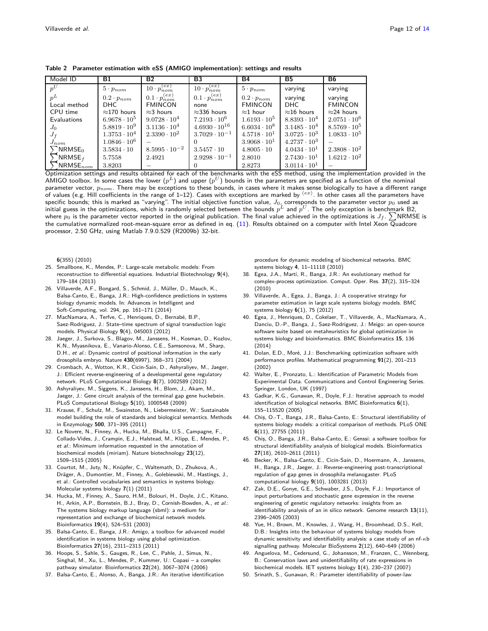<span id="page-11-22"></span>

| Model ID           | B1                    | <b>B2</b>                  | B <sub>3</sub>             | <b>B4</b>             | <b>B5</b>             | B6                    |
|--------------------|-----------------------|----------------------------|----------------------------|-----------------------|-----------------------|-----------------------|
| $p^U$              | $5\cdot p_{nom}$      | $10 \cdot p_{nom}^{(ex)}$  | $10 \cdot p_{nom}^{(ex)}$  | $5\cdot p_{nom}$      | varying               | varying               |
| $n^L$              | $0.2\cdot p_{nom}$    | $0.1 \cdot p_{nom}^{(ex)}$ | $0.1 \cdot p_{nom}^{(ex)}$ | $0.2 \cdot p_{nom}$   | varying               | varying               |
| Local method       | DHC                   | <b>FMINCON</b>             | none                       | <b>FMINCON</b>        | DHC                   | <b>FMINCON</b>        |
| CPU time           | $\approx$ 170 hours   | $\approx$ 3 hours          | $\approx$ 336 hours        | $\approx$ 1 hour      | $\approx$ 16 hours    | $\approx$ 24 hours    |
| Evaluations        | $6.9678 \cdot 10^5$   | $9.0728 \cdot 10^{4}$      | $7.2193 \cdot 10^{6}$      | $1.6193 \cdot 10^5$   | $8.8393 \cdot 10^{4}$ | $2.0751 \cdot 10^6$   |
| $J_0$              | $5.8819 \cdot 10^{9}$ | $3.1136 \cdot 10^{4}$      | $4.6930 \cdot 10^{16}$     | $6.6034 \cdot 10^{8}$ | $3.1485 \cdot 10^{4}$ | $8.5769 \cdot 10^5$   |
| $J_f$              | $1.3753 \cdot 10^{4}$ | $2.3390 \cdot 10^{2}$      | $3.7029 \cdot 10^{-1}$     | $4.5718 \cdot 10^{1}$ | $3.0725 \cdot 10^3$   | $1.0833 \cdot 10^5$   |
| $J_{nom}$          | $1.0846 \cdot 10^6$   |                            |                            | $3.9068 \cdot 10^{1}$ | $4.2737 \cdot 10^3$   |                       |
| NRMSE <sub>0</sub> | $3.5834 \cdot 10$     | $8.5995 \cdot 10^{-2}$     | $3.5457 \cdot 10$          | $4.8005 \cdot 10$     | $4.0434 \cdot 10^{1}$ | $2.3808 \cdot 10^{2}$ |
| NRMSE <sub>f</sub> | 5.7558                | 2.4921                     | $2.9298 \cdot 10^{-1}$     | 2.8010                | $2.7430 \cdot 10^{1}$ | $1.6212 \cdot 10^{2}$ |
| $NRMSE_{nom}$      | 3.8203                |                            |                            | 2.8273                | $3.0114 \cdot 10^{1}$ |                       |

**Table 2 Parameter estimation with eSS (AMIGO implementation): settings and results**

Optimization settings and results obtained for each of the benchmarks with the eSS method, using the implementation provided in the AMIGO toolbox. In some cases the lower  $(p^L)$  and upper  $(p^U)$  bounds in the parameters are specified as a function of the nominal parameter vector, *pnom*. There may be exceptions to these bounds, in cases where it makes sense biologically to have a different range of values (e.g. Hill coefficients in the range of 1–12). Cases with exceptions are marked by (*ex*) . In other cases all the parameters have specific bounds; this is marked as "varying". The initial objective function value, *J*0, corresponds to the parameter vector *p*<sup>0</sup> used as initial guess in the optimizations, which is randomly selected between the bounds  $p^L$  and  $p^U$ . The only exception is benchmark B2, where  $p_0$  is the parameter vector reported in the original publication. The final value achieved in the optimizations is  $J_f$ .  $\sum$ NRMSE is the cumulative normalized root-mean-square error as defined in eq. [\(11\)](#page-8-1). Results obtained on a computer with Intel Xeon Quadcore processor, 2.50 GHz, using Matlab 7.9.0.529 (R2009b) 32-bit.

**6**(355) (2010)

- <span id="page-11-0"></span>25. Smallbone, K., Mendes, P.: Large-scale metabolic models: From reconstruction to differential equations. Industrial Biotechnology **9**(4), 179–184 (2013)
- <span id="page-11-1"></span>26. Villaverde, A.F., Bongard, S., Schmid, J., Müller, D., Mauch, K., Balsa-Canto, E., Banga, J.R.: High-confidence predictions in systems biology dynamic models. In: Advances in Intelligent and Soft-Computing, vol. 294, pp. 161–171 (2014)
- <span id="page-11-2"></span>27. MacNamara, A., Terfve, C., Henriques, D., Bernabé, B.P., Saez-Rodriguez, J.: State–time spectrum of signal transduction logic models. Physical Biology **9**(4), 045003 (2012)
- <span id="page-11-3"></span>28. Jaeger, J., Surkova, S., Blagov, M., Janssens, H., Kosman, D., Kozlov, K.N., Myasnikova, E., Vanario-Alonso, C.E., Samsonova, M., Sharp, D.H., et al.: Dynamic control of positional information in the early drosophila embryo. Nature **430**(6997), 368–371 (2004)
- <span id="page-11-21"></span>29. Crombach, A., Wotton, K.R., Cicin-Sain, D., Ashyraliyev, M., Jaeger, J.: Efficient reverse-engineering of a developmental gene regulatory network. PLoS Computational Biology **8**(7), 1002589 (2012)
- <span id="page-11-4"></span>30. Ashyraliyev, M., Siggens, K., Janssens, H., Blom, J., Akam, M., Jaeger, J.: Gene circuit analysis of the terminal gap gene huckebein. PLoS Computational Biology **5**(10), 1000548 (2009)
- <span id="page-11-5"></span>31. Krause, F., Schulz, M., Swainston, N., Liebermeister, W.: Sustainable model building the role of standards and biological semantics. Methods in Enzymology **500**, 371–395 (2011)
- <span id="page-11-6"></span>32. Le Novere, N., Finney, A., Hucka, M., Bhalla, U.S., Campagne, F., Collado-Vides, J., Crampin, E.J., Halstead, M., Klipp, E., Mendes, P., et al.: Minimum information requested in the annotation of biochemical models (miriam). Nature biotechnology **23**(12), 1509–1515 (2005)
- <span id="page-11-7"></span>33. Courtot, M., Juty, N., Knüpfer, C., Waltemath, D., Zhukova, A., Dräger, A., Dumontier, M., Finney, A., Golebiewski, M., Hastings, J., et al.: Controlled vocabularies and semantics in systems biology. Molecular systems biology **7**(1) (2011)
- <span id="page-11-8"></span>34. Hucka, M., Finney, A., Sauro, H.M., Bolouri, H., Doyle, J.C., Kitano, H., Arkin, A.P., Bornstein, B.J., Bray, D., Cornish-Bowden, A., et al.: The systems biology markup language (sbml): a medium for representation and exchange of biochemical network models. Bioinformatics **19**(4), 524–531 (2003)
- <span id="page-11-9"></span>35. Balsa-Canto, E., Banga, J.R.: Amigo, a toolbox for advanced model identification in systems biology using global optimization. Bioinformatics **27**(16), 2311–2313 (2011)
- <span id="page-11-10"></span>36. Hoops, S., Sahle, S., Gauges, R., Lee, C., Pahle, J., Simus, N., Singhal, M., Xu, L., Mendes, P., Kummer, U.: Copasi – a complex pathway simulator. Bioinformatics **22**(24), 3067–3074 (2006)
- <span id="page-11-11"></span>37. Balsa-Canto, E., Alonso, A., Banga, J.R.: An iterative identification

procedure for dynamic modeling of biochemical networks. BMC systems biology **4**, 11–11118 (2010)

- <span id="page-11-12"></span>38. Egea, J.A., Martí, R., Banga, J.R.: An evolutionary method for complex-process optimization. Comput. Oper. Res. **37**(2), 315–324 (2010)
- <span id="page-11-13"></span>39. Villaverde, A., Egea, J., Banga, J.: A cooperative strategy for parameter estimation in large scale systems biology models. BMC systems biology **6**(1), 75 (2012)
- <span id="page-11-14"></span>40. Egea, J., Henriques, D., Cokelaer, T., Villaverde, A., MacNamara, A., Danciu, D.-P., Banga, J., Saez-Rodriguez, J.: Meigo: an open-source software suite based on metaheuristics for global optimization in systems biology and bioinformatics. BMC Bioinformatics **15**, 136 (2014)
- <span id="page-11-15"></span>41. Dolan, E.D., Moré, J.J.: Benchmarking optimization software with performance profiles. Mathematical programming **91**(2), 201–213 (2002)
- <span id="page-11-16"></span>42. Walter, E., Pronzato, L.: Identification of Parametric Models from Experimental Data. Communications and Control Engineering Series. Springer, London, UK (1997)
- <span id="page-11-17"></span>43. Gadkar, K.G., Gunawan, R., Doyle, F.J.: Iterative approach to model identification of biological networks. BMC Bioinformatics **6**(1), 155–115520 (2005)
- <span id="page-11-18"></span>44. Chis¸, O.-T., Banga, J.R., Balsa-Canto, E.: Structural identifiability of systems biology models: a critical comparison of methods. PLoS ONE **6**(11), 27755 (2011)
- 45. Chiș, O., Banga, J.R., Balsa-Canto, E.: Genssi: a software toolbox for structural identifiability analysis of biological models. Bioinformatics **27**(18), 2610–2611 (2011)
- <span id="page-11-19"></span>46. Becker, K., Balsa-Canto, E., Cicin-Sain, D., Hoermann, A., Janssens, H., Banga, J.R., Jaeger, J.: Reverse-engineering post-transcriptional regulation of gap genes in drosophila melanogaster. PLoS computational biology **9**(10), 1003281 (2013)
- <span id="page-11-20"></span>47. Zak, D.E., Gonye, G.E., Schwaber, J.S., Doyle, F.J.: Importance of input perturbations and stochastic gene expression in the reverse engineering of genetic regulatory networks: insights from an identifiability analysis of an in silico network. Genome research **13**(11), 2396–2405 (2003)
- 48. Yue, H., Brown, M., Knowles, J., Wang, H., Broomhead, D.S., Kell, D.B.: Insights into the behaviour of systems biology models from dynamic sensitivity and identifiability analysis: a case study of an nf-*κ*b signalling pathway. Molecular BioSystems **2**(12), 640–649 (2006)
- 49. Anguelova, M., Cedersund, G., Johansson, M., Franzen, C., Wennberg, B.: Conservation laws and unidentifiability of rate expressions in biochemical models. IET systems biology **1**(4), 230–237 (2007)
- 50. Srinath, S., Gunawan, R.: Parameter identifiability of power-law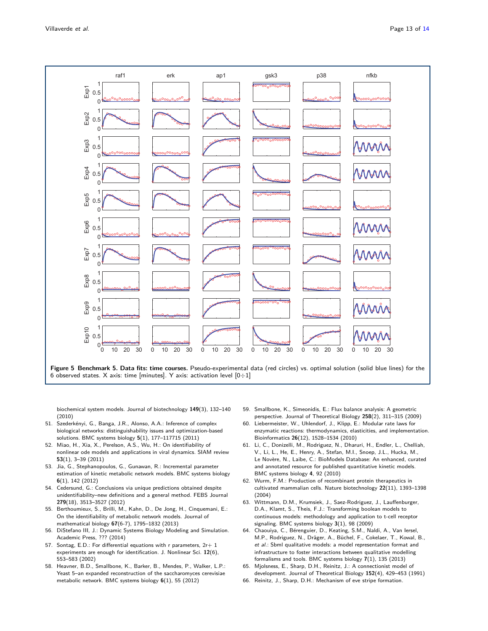

<span id="page-12-12"></span>biochemical system models. Journal of biotechnology **149**(3), 132–140 (2010)

- 51. Szederkényi, G., Banga, J.R., Alonso, A.A.: Inference of complex biological networks: distinguishability issues and optimization-based solutions. BMC systems biology **5**(1), 177–117715 (2011)
- 52. Miao, H., Xia, X., Perelson, A.S., Wu, H.: On identifiability of nonlinear ode models and applications in viral dynamics. SIAM review **53**(1), 3–39 (2011)
- 53. Jia, G., Stephanopoulos, G., Gunawan, R.: Incremental parameter estimation of kinetic metabolic network models. BMC systems biology **6**(1), 142 (2012)
- <span id="page-12-2"></span>54. Cedersund, G.: Conclusions via unique predictions obtained despite unidentifiability–new definitions and a general method. FEBS Journal **279**(18), 3513–3527 (2012)
- 55. Berthoumieux, S., Brilli, M., Kahn, D., De Jong, H., Cinquemani, E.: On the identifiability of metabolic network models. Journal of mathematical biology **67**(6-7), 1795–1832 (2013)
- <span id="page-12-0"></span>56. DiStefano III, J.: Dynamic Systems Biology Modeling and Simulation. Academic Press, ??? (2014)
- <span id="page-12-1"></span>57. Sontag, E.D.: For differential equations with r parameters,  $2r+1$ experiments are enough for identification. J. Nonlinear Sci. **12**(6), 553–583 (2002)
- <span id="page-12-3"></span>58. Heavner, B.D., Smallbone, K., Barker, B., Mendes, P., Walker, L.P.: Yeast 5–an expanded reconstruction of the saccharomyces cerevisiae metabolic network. BMC systems biology **6**(1), 55 (2012)
- <span id="page-12-4"></span>59. Smallbone, K., Simeonidis, E.: Flux balance analysis: A geometric perspective. Journal of Theoretical Biology **258**(2), 311–315 (2009)
- <span id="page-12-5"></span>60. Liebermeister, W., Uhlendorf, J., Klipp, E.: Modular rate laws for enzymatic reactions: thermodynamics, elasticities, and implementation. Bioinformatics **26**(12), 1528–1534 (2010)
- <span id="page-12-6"></span>61. Li, C., Donizelli, M., Rodriguez, N., Dharuri, H., Endler, L., Chelliah, V., Li, L., He, E., Henry, A., Stefan, M.I., Snoep, J.L., Hucka, M., Le Novère, N., Laibe, C.: BioModels Database: An enhanced, curated and annotated resource for published quantitative kinetic models. BMC systems biology **4**, 92 (2010)
- <span id="page-12-7"></span>62. Wurm, F.M.: Production of recombinant protein therapeutics in cultivated mammalian cells. Nature biotechnology **22**(11), 1393–1398 (2004)
- <span id="page-12-8"></span>63. Wittmann, D.M., Krumsiek, J., Saez-Rodriguez, J., Lauffenburger, D.A., Klamt, S., Theis, F.J.: Transforming boolean models to continuous models: methodology and application to t-cell receptor signaling. BMC systems biology **3**(1), 98 (2009)
- <span id="page-12-9"></span>64. Chaouiya, C., Bérenguier, D., Keating, S.M., Naldi, A., Van Iersel, M.P., Rodriguez, N., Dräger, A., Büchel, F., Cokelaer, T., Kowal, B., et al.: Sbml qualitative models: a model representation format and infrastructure to foster interactions between qualitative modelling formalisms and tools. BMC systems biology **7**(1), 135 (2013)
- <span id="page-12-10"></span>65. Mjolsness, E., Sharp, D.H., Reinitz, J.: A connectionist model of development. Journal of Theoretical Biology **152**(4), 429–453 (1991)
- <span id="page-12-11"></span>66. Reinitz, J., Sharp, D.H.: Mechanism of eve stripe formation.